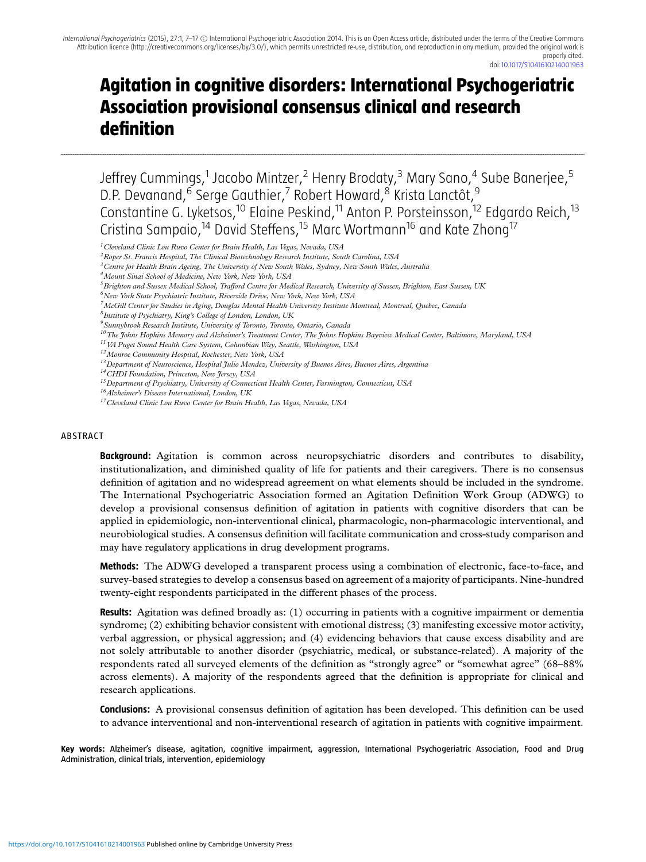...........................................................................................................................................................................................................................................................................................................................................................................................................................................................................................................................................................................................................................................

# **Agitation in cognitive disorders: International Psychogeriatric Association provisional consensus clinical and research definition**

Jeffrey Cummings,<sup>1</sup> Jacobo Mintzer,<sup>2</sup> Henry Brodaty,<sup>3</sup> Mary Sano,<sup>4</sup> Sube Banerjee,<sup>5</sup> D.P. Devanand,<sup>6</sup> Serge Gauthier,<sup>7</sup> Robert Howard,<sup>8</sup> Krista Lanctôt,<sup>9</sup> Constantine G. Lyketsos,<sup>10</sup> Elaine Peskind,<sup>11</sup> Anton P. Porsteinsson,<sup>12</sup> Edgardo Reich,<sup>13</sup> Cristina Sampaio,<sup>14</sup> David Steffens,<sup>15</sup> Marc Wortmann<sup>16</sup> and Kate Zhong<sup>17</sup>

- *6New York State Psychiatric Institute, Riverside Drive, New York, New York, USA*
- *7McGill Center for Studies in Aging, Douglas Mental Health University Institute Montreal, Montreal, Quebec, Canada*
- *8Institute of Psychiatry, King's College of London, London, UK*
- *9Sunnybrook Research Institute, University of Toronto, Toronto, Ontario, Canada*
- *10The Johns Hopkins Memory and Alzheimer's Treatment Center, The Johns Hopkins Bayview Medical Center, Baltimore, Maryland, USA*
- *11VA Puget Sound Health Care System, Columbian Way, Seattle, Washington, USA*
- *12Monroe Community Hospital, Rochester, New York, USA*
- *13Department of Neuroscience, Hospital Julio Mendez, University of Buenos Aires, Buenos Aires, Argentina*
- *14CHDI Foundation, Princeton, New Jersey, USA*

- *16Alzheimer's Disease International, London, UK*
- *17Cleveland Clinic Lou Ruvo Center for Brain Health, Las Vegas, Nevada, USA*

#### ABSTRACT

**Background:** Agitation is common across neuropsychiatric disorders and contributes to disability, institutionalization, and diminished quality of life for patients and their caregivers. There is no consensus definition of agitation and no widespread agreement on what elements should be included in the syndrome. The International Psychogeriatric Association formed an Agitation Definition Work Group (ADWG) to develop a provisional consensus definition of agitation in patients with cognitive disorders that can be applied in epidemiologic, non-interventional clinical, pharmacologic, non-pharmacologic interventional, and neurobiological studies. A consensus definition will facilitate communication and cross-study comparison and may have regulatory applications in drug development programs.

**Methods:** The ADWG developed a transparent process using a combination of electronic, face-to-face, and survey-based strategies to develop a consensus based on agreement of a majority of participants. Nine-hundred twenty-eight respondents participated in the different phases of the process.

**Results:** Agitation was defined broadly as: (1) occurring in patients with a cognitive impairment or dementia syndrome; (2) exhibiting behavior consistent with emotional distress; (3) manifesting excessive motor activity, verbal aggression, or physical aggression; and (4) evidencing behaviors that cause excess disability and are not solely attributable to another disorder (psychiatric, medical, or substance-related). A majority of the respondents rated all surveyed elements of the definition as "strongly agree" or "somewhat agree" (68–88% across elements). A majority of the respondents agreed that the definition is appropriate for clinical and research applications.

**Conclusions:** A provisional consensus definition of agitation has been developed. This definition can be used to advance interventional and non-interventional research of agitation in patients with cognitive impairment.

**Key words:** Alzheimer's disease, agitation, cognitive impairment, aggression, International Psychogeriatric Association, Food and Drug Administration, clinical trials, intervention, epidemiology

*<sup>1</sup>Cleveland Clinic Lou Ruvo Center for Brain Health, Las Vegas, Nevada, USA*

*<sup>2</sup>Roper St. Francis Hospital, The Clinical Biotechnology Research Institute, South Carolina, USA*

*<sup>3</sup>Centre for Health Brain Ageing, The University of New South Wales, Sydney, New South Wales, Australia*

*<sup>4</sup>Mount Sinai School of Medicine, New York, New York, USA*

*<sup>5</sup>Brighton and Sussex Medical School, Trafford Centre for Medical Research, University of Sussex, Brighton, East Sussex, UK*

*<sup>15</sup>Department of Psychiatry, University of Connecticut Health Center, Farmington, Connecticut, USA*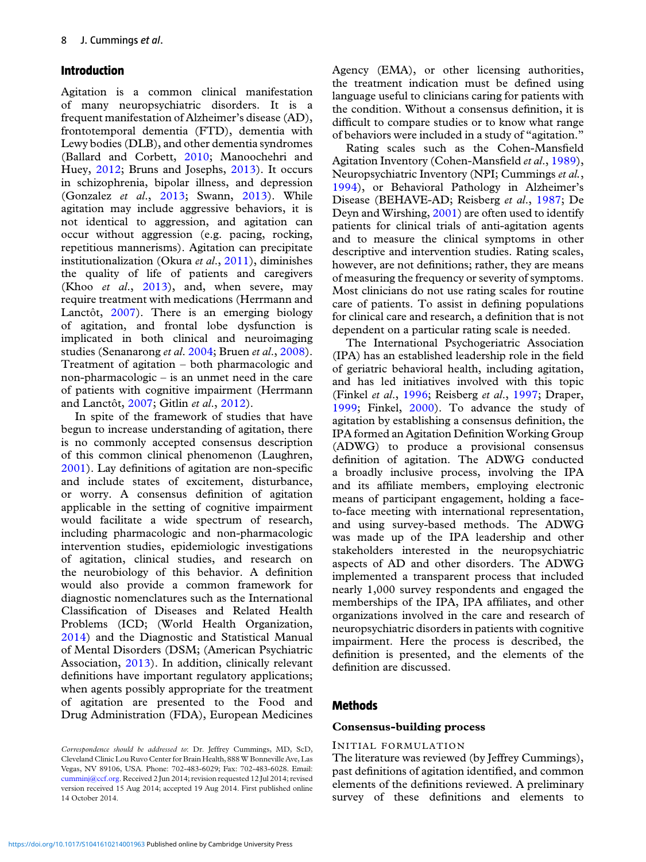# **Introduction**

Agitation is a common clinical manifestation of many neuropsychiatric disorders. It is a frequent manifestation of Alzheimer's disease (AD), frontotemporal dementia (FTD), dementia with Lewy bodies (DLB), and other dementia syndromes (Ballard and Corbett, [2010;](#page-9-0) Manoochehri and Huey, [2012;](#page-9-0) Bruns and Josephs, [2013\)](#page-9-0). It occurs in schizophrenia, bipolar illness, and depression (Gonzalez *et al*., [2013;](#page-9-0) Swann, [2013\)](#page-10-0). While agitation may include aggressive behaviors, it is not identical to aggression, and agitation can occur without aggression (e.g. pacing, rocking, repetitious mannerisms). Agitation can precipitate institutionalization (Okura *et al*., [2011\)](#page-9-0), diminishes the quality of life of patients and caregivers (Khoo *et al*., [2013\)](#page-9-0), and, when severe, may require treatment with medications (Herrmann and Lanctôt, [2007\)](#page-9-0). There is an emerging biology of agitation, and frontal lobe dysfunction is implicated in both clinical and neuroimaging studies (Senanarong *et al*. [2004;](#page-10-0) Bruen *et al*., [2008\)](#page-9-0). Treatment of agitation – both pharmacologic and non-pharmacologic – is an unmet need in the care of patients with cognitive impairment (Herrmann and Lanctôt, [2007;](#page-9-0) Gitlin *et al*., [2012\)](#page-9-0).

In spite of the framework of studies that have begun to increase understanding of agitation, there is no commonly accepted consensus description of this common clinical phenomenon (Laughren, [2001\)](#page-9-0). Lay definitions of agitation are non-specific and include states of excitement, disturbance, or worry. A consensus definition of agitation applicable in the setting of cognitive impairment would facilitate a wide spectrum of research, including pharmacologic and non-pharmacologic intervention studies, epidemiologic investigations of agitation, clinical studies, and research on the neurobiology of this behavior. A definition would also provide a common framework for diagnostic nomenclatures such as the International Classification of Diseases and Related Health Problems (ICD; (World Health Organization, [2014\)](#page-10-0) and the Diagnostic and Statistical Manual of Mental Disorders (DSM; (American Psychiatric Association, [2013\)](#page-9-0). In addition, clinically relevant definitions have important regulatory applications; when agents possibly appropriate for the treatment of agitation are presented to the Food and Drug Administration (FDA), European Medicines

Agency (EMA), or other licensing authorities, the treatment indication must be defined using language useful to clinicians caring for patients with the condition. Without a consensus definition, it is difficult to compare studies or to know what range of behaviors were included in a study of "agitation."

Rating scales such as the Cohen-Mansfield Agitation Inventory (Cohen-Mansfield *et al*., [1989\)](#page-9-0), Neuropsychiatric Inventory (NPI; Cummings *et al.*, [1994\)](#page-9-0), or Behavioral Pathology in Alzheimer's Disease (BEHAVE-AD; Reisberg *et al*., [1987;](#page-9-0) De Deyn and Wirshing, [2001\)](#page-9-0) are often used to identify patients for clinical trials of anti-agitation agents and to measure the clinical symptoms in other descriptive and intervention studies. Rating scales, however, are not definitions; rather, they are means of measuring the frequency or severity of symptoms. Most clinicians do not use rating scales for routine care of patients. To assist in defining populations for clinical care and research, a definition that is not dependent on a particular rating scale is needed.

The International Psychogeriatric Association (IPA) has an established leadership role in the field of geriatric behavioral health, including agitation, and has led initiatives involved with this topic (Finkel *et al*., [1996;](#page-9-0) Reisberg *et al*., [1997;](#page-9-0) Draper, [1999;](#page-9-0) Finkel, [2000\)](#page-9-0). To advance the study of agitation by establishing a consensus definition, the IPA formed an Agitation Definition Working Group (ADWG) to produce a provisional consensus definition of agitation. The ADWG conducted a broadly inclusive process, involving the IPA and its affiliate members, employing electronic means of participant engagement, holding a faceto-face meeting with international representation, and using survey-based methods. The ADWG was made up of the IPA leadership and other stakeholders interested in the neuropsychiatric aspects of AD and other disorders. The ADWG implemented a transparent process that included nearly 1,000 survey respondents and engaged the memberships of the IPA, IPA affiliates, and other organizations involved in the care and research of neuropsychiatric disorders in patients with cognitive impairment. Here the process is described, the definition is presented, and the elements of the definition are discussed.

## **Methods**

#### **Consensus-building process**

#### INITIAL FORMULATION

The literature was reviewed (by Jeffrey Cummings), past definitions of agitation identified, and common elements of the definitions reviewed. A preliminary survey of these definitions and elements to

*Correspondence should be addressed to*: Dr. Jeffrey Cummings, MD, ScD, Cleveland Clinic Lou Ruvo Center for Brain Health, 888 W Bonneville Ave, Las Vegas, NV 89106, USA. Phone: 702-483-6029; Fax: 702-483-6028. Email: [cumminj@ccf.org.](mailto:cumminj@ccf.org) Received 2 Jun 2014; revision requested 12 Jul 2014; revised version received 15 Aug 2014; accepted 19 Aug 2014. First published online 14 October 2014.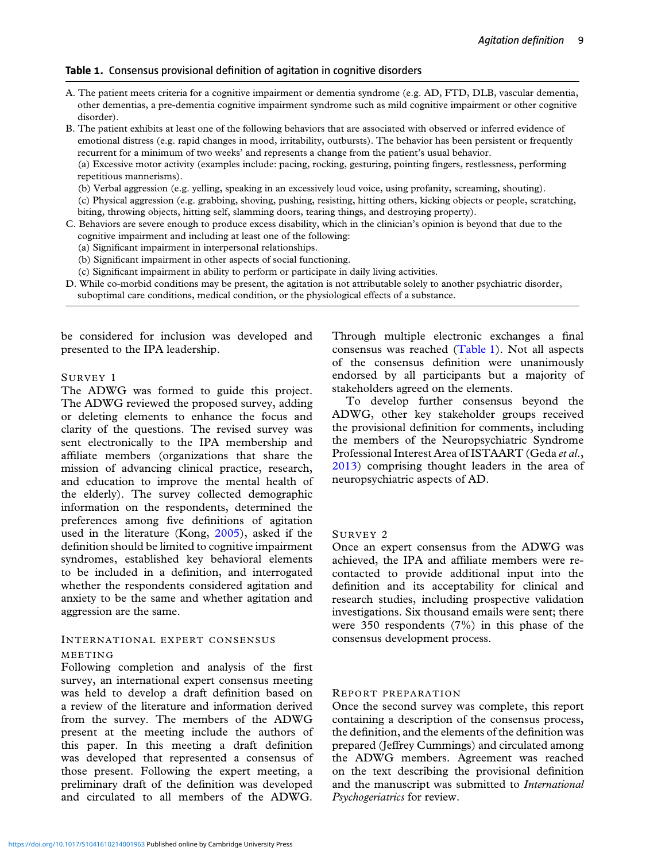### **Table 1.** Consensus provisional definition of agitation in cognitive disorders

A. The patient meets criteria for a cognitive impairment or dementia syndrome (e.g. AD, FTD, DLB, vascular dementia, other dementias, a pre-dementia cognitive impairment syndrome such as mild cognitive impairment or other cognitive disorder).

B. The patient exhibits at least one of the following behaviors that are associated with observed or inferred evidence of emotional distress (e.g. rapid changes in mood, irritability, outbursts). The behavior has been persistent or frequently recurrent for a minimum of two weeks' and represents a change from the patient's usual behavior.

(a) Excessive motor activity (examples include: pacing, rocking, gesturing, pointing fingers, restlessness, performing repetitious mannerisms).

(b) Verbal aggression (e.g. yelling, speaking in an excessively loud voice, using profanity, screaming, shouting).

(c) Physical aggression (e.g. grabbing, shoving, pushing, resisting, hitting others, kicking objects or people, scratching, biting, throwing objects, hitting self, slamming doors, tearing things, and destroying property).

- C. Behaviors are severe enough to produce excess disability, which in the clinician's opinion is beyond that due to the cognitive impairment and including at least one of the following:
	- (a) Significant impairment in interpersonal relationships.
	- (b) Significant impairment in other aspects of social functioning.
	- (c) Significant impairment in ability to perform or participate in daily living activities.
- D. While co-morbid conditions may be present, the agitation is not attributable solely to another psychiatric disorder, suboptimal care conditions, medical condition, or the physiological effects of a substance.

be considered for inclusion was developed and presented to the IPA leadership.

#### SURVEY 1

The ADWG was formed to guide this project. The ADWG reviewed the proposed survey, adding or deleting elements to enhance the focus and clarity of the questions. The revised survey was sent electronically to the IPA membership and affiliate members (organizations that share the mission of advancing clinical practice, research, and education to improve the mental health of the elderly). The survey collected demographic information on the respondents, determined the preferences among five definitions of agitation used in the literature (Kong, [2005\)](#page-9-0), asked if the definition should be limited to cognitive impairment syndromes, established key behavioral elements to be included in a definition, and interrogated whether the respondents considered agitation and anxiety to be the same and whether agitation and aggression are the same.

## INTERNATIONAL EXPERT CONSENSUS

#### MEETING

Following completion and analysis of the first survey, an international expert consensus meeting was held to develop a draft definition based on a review of the literature and information derived from the survey. The members of the ADWG present at the meeting include the authors of this paper. In this meeting a draft definition was developed that represented a consensus of those present. Following the expert meeting, a preliminary draft of the definition was developed and circulated to all members of the ADWG.

Through multiple electronic exchanges a final consensus was reached (Table 1). Not all aspects of the consensus definition were unanimously endorsed by all participants but a majority of stakeholders agreed on the elements.

To develop further consensus beyond the ADWG, other key stakeholder groups received the provisional definition for comments, including the members of the Neuropsychiatric Syndrome Professional Interest Area of ISTAART (Geda *et al*., [2013\)](#page-9-0) comprising thought leaders in the area of neuropsychiatric aspects of AD.

#### SURVEY 2

Once an expert consensus from the ADWG was achieved, the IPA and affiliate members were recontacted to provide additional input into the definition and its acceptability for clinical and research studies, including prospective validation investigations. Six thousand emails were sent; there were 350 respondents (7%) in this phase of the consensus development process.

#### REPORT PREPARATION

Once the second survey was complete, this report containing a description of the consensus process, the definition, and the elements of the definition was prepared (Jeffrey Cummings) and circulated among the ADWG members. Agreement was reached on the text describing the provisional definition and the manuscript was submitted to *International Psychogeriatrics* for review.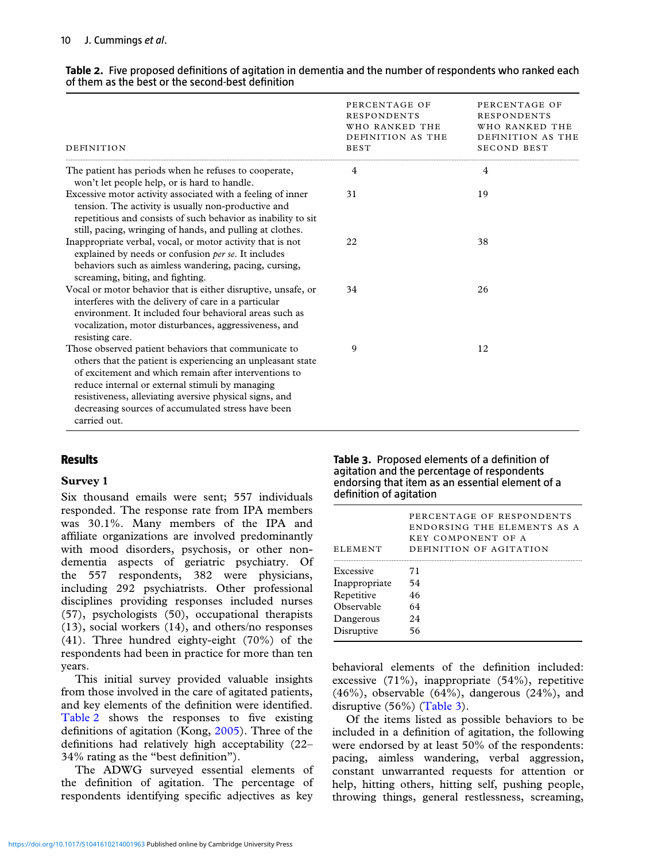| Table 2. Five proposed definitions of agitation in dementia and the number of respondents who ranked each |
|-----------------------------------------------------------------------------------------------------------|
| of them as the best or the second-best definition                                                         |

| DEFINITION                                                                                                                                                                                                                                                                                                                                                       | PERCENTAGE OF<br><b>RESPONDENTS</b><br>WHO RANKED THE<br>DEFINITION AS THE<br><b>BEST</b> | PERCENTAGE OF<br><b>RESPONDENTS</b><br>WHO RANKED THE<br>DEFINITION AS THE<br><b>SECOND BEST</b> |
|------------------------------------------------------------------------------------------------------------------------------------------------------------------------------------------------------------------------------------------------------------------------------------------------------------------------------------------------------------------|-------------------------------------------------------------------------------------------|--------------------------------------------------------------------------------------------------|
| The patient has periods when he refuses to cooperate,<br>won't let people help, or is hard to handle.                                                                                                                                                                                                                                                            | 4                                                                                         | 4                                                                                                |
| Excessive motor activity associated with a feeling of inner<br>tension. The activity is usually non-productive and<br>repetitious and consists of such behavior as inability to sit<br>still, pacing, wringing of hands, and pulling at clothes.                                                                                                                 | 31                                                                                        | 19                                                                                               |
| Inappropriate verbal, vocal, or motor activity that is not<br>explained by needs or confusion per se. It includes<br>behaviors such as aimless wandering, pacing, cursing,<br>screaming, biting, and fighting.                                                                                                                                                   | 22                                                                                        | 38                                                                                               |
| Vocal or motor behavior that is either disruptive, unsafe, or<br>interferes with the delivery of care in a particular<br>environment. It included four behavioral areas such as<br>vocalization, motor disturbances, aggressiveness, and<br>resisting care.                                                                                                      | 34                                                                                        | 26                                                                                               |
| Those observed patient behaviors that communicate to<br>others that the patient is experiencing an unpleasant state<br>of excitement and which remain after interventions to<br>reduce internal or external stimuli by managing<br>resistiveness, alleviating aversive physical signs, and<br>decreasing sources of accumulated stress have been<br>carried out. | 9                                                                                         | 12                                                                                               |

# **Results**

## **Survey 1**

Six thousand emails were sent; 557 individuals responded. The response rate from IPA members was 30.1%. Many members of the IPA and affiliate organizations are involved predominantly with mood disorders, psychosis, or other nondementia aspects of geriatric psychiatry. Of the 557 respondents, 382 were physicians, including 292 psychiatrists. Other professional disciplines providing responses included nurses (57), psychologists (50), occupational therapists (13), social workers (14), and others/no responses (41). Three hundred eighty-eight (70%) of the respondents had been in practice for more than ten years.

This initial survey provided valuable insights from those involved in the care of agitated patients, and key elements of the definition were identified. Table 2 shows the responses to five existing definitions of agitation (Kong, [2005\)](#page-9-0). Three of the definitions had relatively high acceptability (22– 34% rating as the "best definition").

The ADWG surveyed essential elements of the definition of agitation. The percentage of respondents identifying specific adjectives as key **Table 3.** Proposed elements of a definition of agitation and the percentage of respondents endorsing that item as an essential element of a definition of agitation

| <b>ELEMENT</b> | PERCENTAGE OF RESPONDENTS<br>ENDORSING THE ELEMENTS AS A<br>KEY COMPONENT OF A<br>DEFINITION OF AGITATION |
|----------------|-----------------------------------------------------------------------------------------------------------|
| Excessive      | 71                                                                                                        |
| Inappropriate  | 54                                                                                                        |
| Repetitive     | 46                                                                                                        |
| Observable     | 64                                                                                                        |
| Dangerous      | 24                                                                                                        |
| Disruptive     | 56                                                                                                        |

behavioral elements of the definition included: excessive (71%), inappropriate (54%), repetitive  $(46\%)$ , observable  $(64\%)$ , dangerous  $(24\%)$ , and disruptive (56%) (Table 3).

Of the items listed as possible behaviors to be included in a definition of agitation, the following were endorsed by at least 50% of the respondents: pacing, aimless wandering, verbal aggression, constant unwarranted requests for attention or help, hitting others, hitting self, pushing people, throwing things, general restlessness, screaming,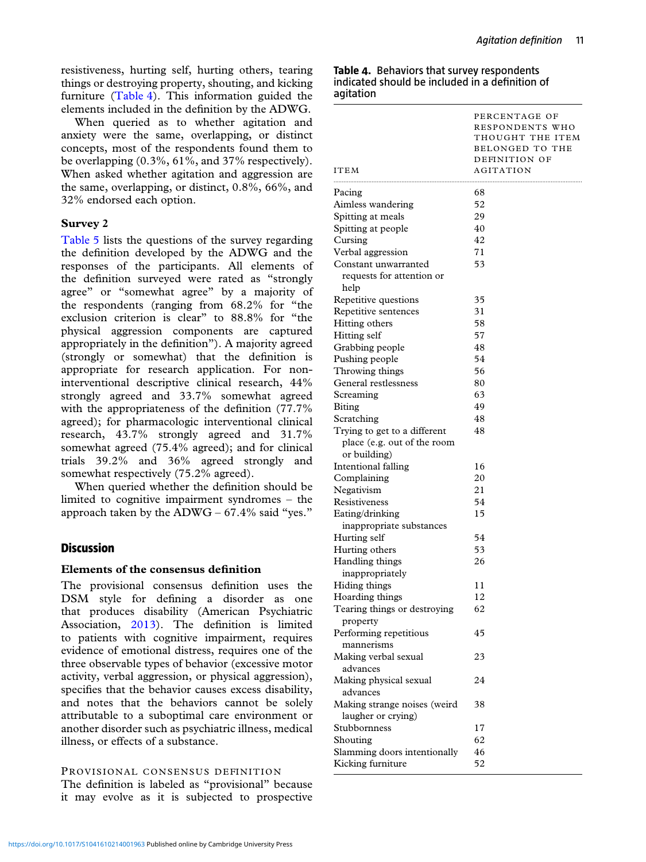resistiveness, hurting self, hurting others, tearing things or destroying property, shouting, and kicking furniture (Table 4). This information guided the elements included in the definition by the ADWG.

When queried as to whether agitation and anxiety were the same, overlapping, or distinct concepts, most of the respondents found them to be overlapping (0.3%, 61%, and 37% respectively). When asked whether agitation and aggression are the same, overlapping, or distinct, 0.8%, 66%, and 32% endorsed each option.

## **Survey 2**

[Table 5](#page-5-0) lists the questions of the survey regarding the definition developed by the ADWG and the responses of the participants. All elements of the definition surveyed were rated as "strongly agree" or "somewhat agree" by a majority of the respondents (ranging from 68.2% for "the exclusion criterion is clear" to 88.8% for "the physical aggression components are captured appropriately in the definition"). A majority agreed (strongly or somewhat) that the definition is appropriate for research application. For noninterventional descriptive clinical research, 44% strongly agreed and 33.7% somewhat agreed with the appropriateness of the definition (77.7% agreed); for pharmacologic interventional clinical research, 43.7% strongly agreed and 31.7% somewhat agreed (75.4% agreed); and for clinical trials 39.2% and 36% agreed strongly and somewhat respectively (75.2% agreed).

When queried whether the definition should be limited to cognitive impairment syndromes – the approach taken by the  $ADWG - 67.4\%$  said "yes."

# **Discussion**

## **Elements of the consensus definition**

The provisional consensus definition uses the DSM style for defining a disorder as one that produces disability (American Psychiatric Association, [2013\)](#page-9-0). The definition is limited to patients with cognitive impairment, requires evidence of emotional distress, requires one of the three observable types of behavior (excessive motor activity, verbal aggression, or physical aggression), specifies that the behavior causes excess disability, and notes that the behaviors cannot be solely attributable to a suboptimal care environment or another disorder such as psychiatric illness, medical illness, or effects of a substance.

## PROVISIONAL CONSENSUS DEFINITION

The definition is labeled as "provisional" because it may evolve as it is subjected to prospective

|           | Table 4. Behaviors that survey respondents      |
|-----------|-------------------------------------------------|
|           | indicated should be included in a definition of |
| agitation |                                                 |

| <b>ITEM</b>                                                                 | PERCENTAGE OF<br>RESPONDENTS WHO<br>THOUGHT THE ITEM<br><b>BELONGED TO THE</b><br>DEFINITION OF<br>AGITATION |
|-----------------------------------------------------------------------------|--------------------------------------------------------------------------------------------------------------|
| Pacing                                                                      | 68                                                                                                           |
| Aimless wandering                                                           | 52                                                                                                           |
| Spitting at meals                                                           | 29                                                                                                           |
| Spitting at people                                                          | 40                                                                                                           |
| Cursing                                                                     | 42                                                                                                           |
| Verbal aggression                                                           | 71                                                                                                           |
| Constant unwarranted<br>requests for attention or<br>help                   | 53                                                                                                           |
| Repetitive questions                                                        | 35                                                                                                           |
| Repetitive sentences                                                        | 31                                                                                                           |
| Hitting others                                                              | 58                                                                                                           |
| Hitting self                                                                | 57                                                                                                           |
| Grabbing people                                                             | 48                                                                                                           |
| Pushing people                                                              | 54                                                                                                           |
| Throwing things                                                             | 56                                                                                                           |
| General restlessness                                                        | 80                                                                                                           |
| Screaming                                                                   | 63                                                                                                           |
| <b>Biting</b>                                                               | 49                                                                                                           |
| Scratching                                                                  | 48                                                                                                           |
| Trying to get to a different<br>place (e.g. out of the room<br>or building) | 48                                                                                                           |
| Intentional falling                                                         | 16                                                                                                           |
| Complaining                                                                 | 20                                                                                                           |
| Negativism                                                                  | 21                                                                                                           |
| Resistiveness                                                               | 54                                                                                                           |
| Eating/drinking<br>inappropriate substances                                 | 15                                                                                                           |
| Hurting self                                                                | 54                                                                                                           |
| Hurting others                                                              | 53                                                                                                           |
| Handling things<br>inappropriately                                          | 26                                                                                                           |
| Hiding things                                                               | 11                                                                                                           |
| Hoarding things                                                             | 12                                                                                                           |
| Tearing things or destroying<br>property<br>Performing repetitious          | 62<br>45                                                                                                     |
| mannerisms                                                                  | 23                                                                                                           |
| Making verbal sexual<br>advances                                            |                                                                                                              |
| Making physical sexual<br>advances                                          | 24                                                                                                           |
| Making strange noises (weird<br>laugher or crying)                          | 38                                                                                                           |
| Stubbornness                                                                | 17                                                                                                           |
| Shouting                                                                    | 62                                                                                                           |
| Slamming doors intentionally<br>Kicking furniture                           | 46<br>52                                                                                                     |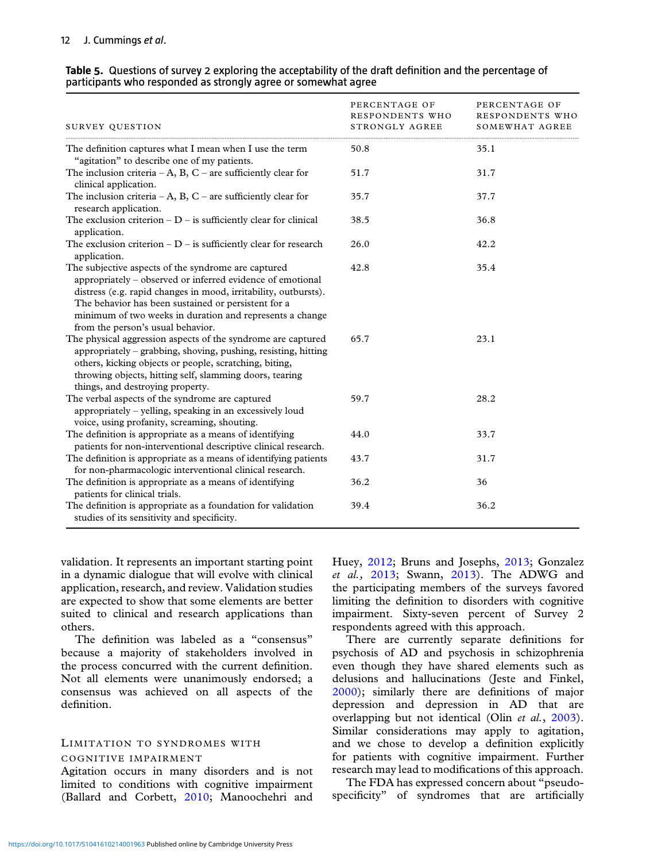| SURVEY QUESTION                                                                                                                                                                                                                                                                                                                              | PERCENTAGE OF<br>RESPONDENTS WHO<br>STRONGLY AGREE | PERCENTAGE OF<br>RESPONDENTS WHO<br>SOMEWHAT AGREE |
|----------------------------------------------------------------------------------------------------------------------------------------------------------------------------------------------------------------------------------------------------------------------------------------------------------------------------------------------|----------------------------------------------------|----------------------------------------------------|
| The definition captures what I mean when I use the term<br>"agitation" to describe one of my patients.                                                                                                                                                                                                                                       | 50.8                                               | 35.1                                               |
| The inclusion criteria – A, B, C – are sufficiently clear for<br>clinical application.                                                                                                                                                                                                                                                       | 51.7                                               | 31.7                                               |
| The inclusion criteria $-A$ , B, C – are sufficiently clear for<br>research application.                                                                                                                                                                                                                                                     | 35.7                                               | 37.7                                               |
| The exclusion criterion $-D$ – is sufficiently clear for clinical<br>application.                                                                                                                                                                                                                                                            | 38.5                                               | 36.8                                               |
| The exclusion criterion $-D$ – is sufficiently clear for research<br>application.                                                                                                                                                                                                                                                            | 26.0                                               | 42.2                                               |
| The subjective aspects of the syndrome are captured<br>appropriately - observed or inferred evidence of emotional<br>distress (e.g. rapid changes in mood, irritability, outbursts).<br>The behavior has been sustained or persistent for a<br>minimum of two weeks in duration and represents a change<br>from the person's usual behavior. | 42.8                                               | 35.4                                               |
| The physical aggression aspects of the syndrome are captured<br>appropriately – grabbing, shoving, pushing, resisting, hitting<br>others, kicking objects or people, scratching, biting,<br>throwing objects, hitting self, slamming doors, tearing<br>things, and destroying property.                                                      | 65.7                                               | 23.1                                               |
| The verbal aspects of the syndrome are captured<br>appropriately - yelling, speaking in an excessively loud<br>voice, using profanity, screaming, shouting.                                                                                                                                                                                  | 59.7                                               | 28.2                                               |
| The definition is appropriate as a means of identifying<br>patients for non-interventional descriptive clinical research.                                                                                                                                                                                                                    | 44.0                                               | 33.7                                               |
| The definition is appropriate as a means of identifying patients<br>for non-pharmacologic interventional clinical research.                                                                                                                                                                                                                  | 43.7                                               | 31.7                                               |
| The definition is appropriate as a means of identifying<br>patients for clinical trials.                                                                                                                                                                                                                                                     | 36.2                                               | 36                                                 |
| The definition is appropriate as a foundation for validation<br>studies of its sensitivity and specificity.                                                                                                                                                                                                                                  | 39.4                                               | 36.2                                               |

#### <span id="page-5-0"></span>**Table 5.** Questions of survey 2 exploring the acceptability of the draft definition and the percentage of participants who responded as strongly agree or somewhat agree

validation. It represents an important starting point in a dynamic dialogue that will evolve with clinical application, research, and review. Validation studies are expected to show that some elements are better suited to clinical and research applications than others.

The definition was labeled as a "consensus" because a majority of stakeholders involved in the process concurred with the current definition. Not all elements were unanimously endorsed; a consensus was achieved on all aspects of the definition.

#### LIMITATION TO SYNDROMES WITH COGNITIVE IMPAIRMENT

Agitation occurs in many disorders and is not limited to conditions with cognitive impairment (Ballard and Corbett, [2010;](#page-9-0) Manoochehri and Huey, [2012;](#page-9-0) Bruns and Josephs, [2013;](#page-9-0) Gonzalez *et al.,* [2013;](#page-9-0) Swann, [2013\)](#page-10-0). The ADWG and the participating members of the surveys favored limiting the definition to disorders with cognitive impairment. Sixty-seven percent of Survey 2 respondents agreed with this approach.

There are currently separate definitions for psychosis of AD and psychosis in schizophrenia even though they have shared elements such as delusions and hallucinations (Jeste and Finkel, [2000\)](#page-9-0); similarly there are definitions of major depression and depression in AD that are overlapping but not identical (Olin *et al.*, [2003\)](#page-9-0). Similar considerations may apply to agitation, and we chose to develop a definition explicitly for patients with cognitive impairment. Further research may lead to modifications of this approach.

The FDA has expressed concern about "pseudospecificity" of syndromes that are artificially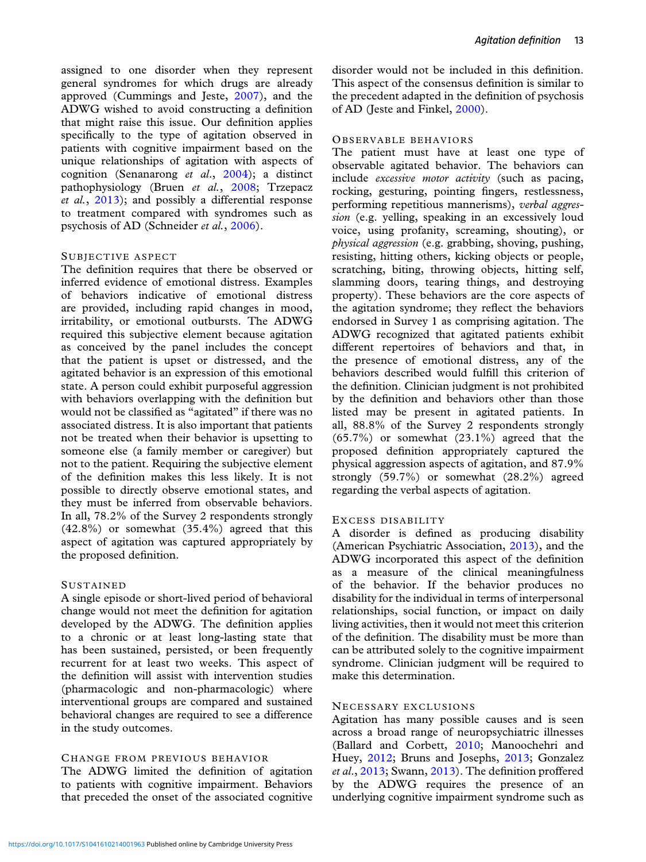assigned to one disorder when they represent general syndromes for which drugs are already approved (Cummings and Jeste, [2007\)](#page-9-0), and the ADWG wished to avoid constructing a definition that might raise this issue. Our definition applies specifically to the type of agitation observed in patients with cognitive impairment based on the unique relationships of agitation with aspects of cognition (Senanarong *et al*., [2004\)](#page-10-0); a distinct pathophysiology (Bruen *et al.*, [2008;](#page-9-0) Trzepacz *et al.*, [2013\)](#page-10-0); and possibly a differential response to treatment compared with syndromes such as psychosis of AD (Schneider *et al.*, [2006\)](#page-9-0).

#### SUBJECTIVE ASPECT

The definition requires that there be observed or inferred evidence of emotional distress. Examples of behaviors indicative of emotional distress are provided, including rapid changes in mood, irritability, or emotional outbursts. The ADWG required this subjective element because agitation as conceived by the panel includes the concept that the patient is upset or distressed, and the agitated behavior is an expression of this emotional state. A person could exhibit purposeful aggression with behaviors overlapping with the definition but would not be classified as "agitated" if there was no associated distress. It is also important that patients not be treated when their behavior is upsetting to someone else (a family member or caregiver) but not to the patient. Requiring the subjective element of the definition makes this less likely. It is not possible to directly observe emotional states, and they must be inferred from observable behaviors. In all, 78.2% of the Survey 2 respondents strongly (42.8%) or somewhat (35.4%) agreed that this aspect of agitation was captured appropriately by the proposed definition.

#### **SUSTAINED**

A single episode or short-lived period of behavioral change would not meet the definition for agitation developed by the ADWG. The definition applies to a chronic or at least long-lasting state that has been sustained, persisted, or been frequently recurrent for at least two weeks. This aspect of the definition will assist with intervention studies (pharmacologic and non-pharmacologic) where interventional groups are compared and sustained behavioral changes are required to see a difference in the study outcomes.

#### CHANGE FROM PREVIOUS BEHAVIOR

The ADWG limited the definition of agitation to patients with cognitive impairment. Behaviors that preceded the onset of the associated cognitive disorder would not be included in this definition. This aspect of the consensus definition is similar to the precedent adapted in the definition of psychosis of AD (Jeste and Finkel, [2000\)](#page-9-0).

#### OBSERVABLE BEHAVIORS

The patient must have at least one type of observable agitated behavior. The behaviors can include *excessive motor activity* (such as pacing, rocking, gesturing, pointing fingers, restlessness, performing repetitious mannerisms), *verbal aggression* (e.g. yelling, speaking in an excessively loud voice, using profanity, screaming, shouting), or *physical aggression* (e.g. grabbing, shoving, pushing, resisting, hitting others, kicking objects or people, scratching, biting, throwing objects, hitting self, slamming doors, tearing things, and destroying property). These behaviors are the core aspects of the agitation syndrome; they reflect the behaviors endorsed in Survey 1 as comprising agitation. The ADWG recognized that agitated patients exhibit different repertoires of behaviors and that, in the presence of emotional distress, any of the behaviors described would fulfill this criterion of the definition. Clinician judgment is not prohibited by the definition and behaviors other than those listed may be present in agitated patients. In all, 88.8% of the Survey 2 respondents strongly (65.7%) or somewhat (23.1%) agreed that the proposed definition appropriately captured the physical aggression aspects of agitation, and 87.9% strongly (59.7%) or somewhat (28.2%) agreed regarding the verbal aspects of agitation.

#### EXCESS DISABILITY

A disorder is defined as producing disability (American Psychiatric Association, [2013\)](#page-9-0), and the ADWG incorporated this aspect of the definition as a measure of the clinical meaningfulness of the behavior. If the behavior produces no disability for the individual in terms of interpersonal relationships, social function, or impact on daily living activities, then it would not meet this criterion of the definition. The disability must be more than can be attributed solely to the cognitive impairment syndrome. Clinician judgment will be required to make this determination.

#### NECESSARY EXCLUSIONS

Agitation has many possible causes and is seen across a broad range of neuropsychiatric illnesses (Ballard and Corbett, [2010;](#page-9-0) Manoochehri and Huey, [2012;](#page-9-0) Bruns and Josephs, [2013;](#page-9-0) Gonzalez *et al*., [2013;](#page-9-0) Swann, [2013\)](#page-10-0). The definition proffered by the ADWG requires the presence of an underlying cognitive impairment syndrome such as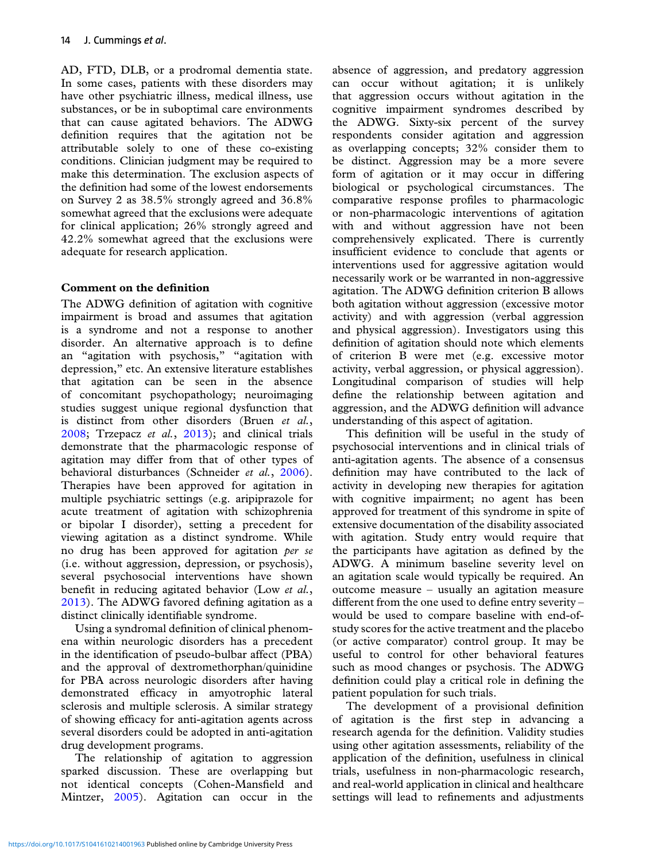AD, FTD, DLB, or a prodromal dementia state. In some cases, patients with these disorders may have other psychiatric illness, medical illness, use substances, or be in suboptimal care environments that can cause agitated behaviors. The ADWG definition requires that the agitation not be attributable solely to one of these co-existing conditions. Clinician judgment may be required to make this determination. The exclusion aspects of the definition had some of the lowest endorsements on Survey 2 as 38.5% strongly agreed and 36.8% somewhat agreed that the exclusions were adequate for clinical application; 26% strongly agreed and 42.2% somewhat agreed that the exclusions were adequate for research application.

# **Comment on the definition**

The ADWG definition of agitation with cognitive impairment is broad and assumes that agitation is a syndrome and not a response to another disorder. An alternative approach is to define an "agitation with psychosis," "agitation with depression," etc. An extensive literature establishes that agitation can be seen in the absence of concomitant psychopathology; neuroimaging studies suggest unique regional dysfunction that is distinct from other disorders (Bruen *et al.*, [2008;](#page-9-0) Trzepacz *et al.*, [2013\)](#page-10-0); and clinical trials demonstrate that the pharmacologic response of agitation may differ from that of other types of behavioral disturbances (Schneider *et al.*, [2006\)](#page-9-0). Therapies have been approved for agitation in multiple psychiatric settings (e.g. aripiprazole for acute treatment of agitation with schizophrenia or bipolar I disorder), setting a precedent for viewing agitation as a distinct syndrome. While no drug has been approved for agitation *per se* (i.e. without aggression, depression, or psychosis), several psychosocial interventions have shown benefit in reducing agitated behavior (Low *et al.*, [2013\)](#page-9-0). The ADWG favored defining agitation as a distinct clinically identifiable syndrome.

Using a syndromal definition of clinical phenomena within neurologic disorders has a precedent in the identification of pseudo-bulbar affect (PBA) and the approval of dextromethorphan/quinidine for PBA across neurologic disorders after having demonstrated efficacy in amyotrophic lateral sclerosis and multiple sclerosis. A similar strategy of showing efficacy for anti-agitation agents across several disorders could be adopted in anti-agitation drug development programs.

The relationship of agitation to aggression sparked discussion. These are overlapping but not identical concepts (Cohen-Mansfield and Mintzer, [2005\)](#page-9-0). Agitation can occur in the absence of aggression, and predatory aggression can occur without agitation; it is unlikely that aggression occurs without agitation in the cognitive impairment syndromes described by the ADWG. Sixty-six percent of the survey respondents consider agitation and aggression as overlapping concepts; 32% consider them to be distinct. Aggression may be a more severe form of agitation or it may occur in differing biological or psychological circumstances. The comparative response profiles to pharmacologic or non-pharmacologic interventions of agitation with and without aggression have not been comprehensively explicated. There is currently insufficient evidence to conclude that agents or interventions used for aggressive agitation would necessarily work or be warranted in non-aggressive agitation. The ADWG definition criterion B allows both agitation without aggression (excessive motor activity) and with aggression (verbal aggression and physical aggression). Investigators using this definition of agitation should note which elements of criterion B were met (e.g. excessive motor activity, verbal aggression, or physical aggression). Longitudinal comparison of studies will help define the relationship between agitation and aggression, and the ADWG definition will advance understanding of this aspect of agitation.

This definition will be useful in the study of psychosocial interventions and in clinical trials of anti-agitation agents. The absence of a consensus definition may have contributed to the lack of activity in developing new therapies for agitation with cognitive impairment; no agent has been approved for treatment of this syndrome in spite of extensive documentation of the disability associated with agitation. Study entry would require that the participants have agitation as defined by the ADWG. A minimum baseline severity level on an agitation scale would typically be required. An outcome measure – usually an agitation measure different from the one used to define entry severity – would be used to compare baseline with end-ofstudy scores for the active treatment and the placebo (or active comparator) control group. It may be useful to control for other behavioral features such as mood changes or psychosis. The ADWG definition could play a critical role in defining the patient population for such trials.

The development of a provisional definition of agitation is the first step in advancing a research agenda for the definition. Validity studies using other agitation assessments, reliability of the application of the definition, usefulness in clinical trials, usefulness in non-pharmacologic research, and real-world application in clinical and healthcare settings will lead to refinements and adjustments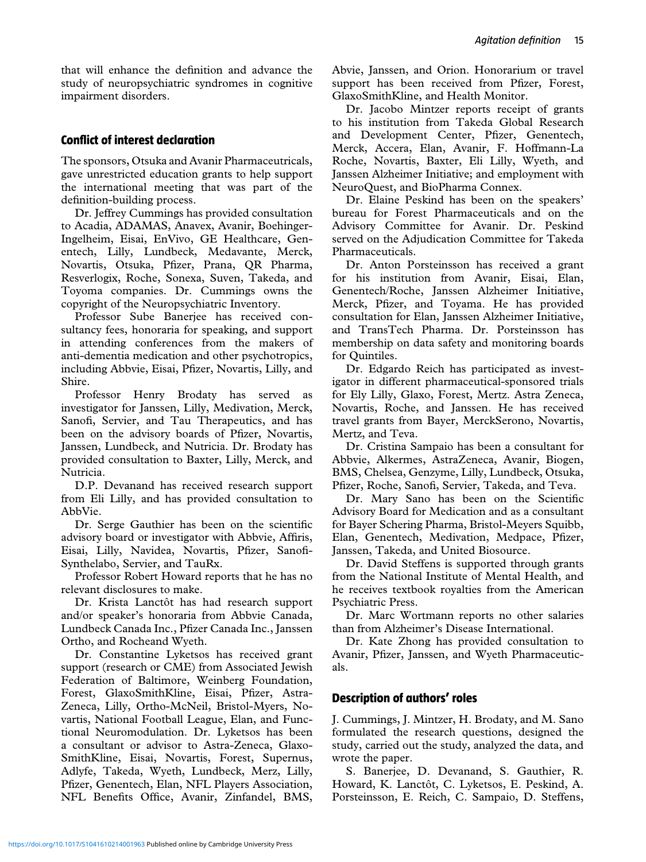that will enhance the definition and advance the study of neuropsychiatric syndromes in cognitive impairment disorders.

# **Conflict of interest declaration**

The sponsors, Otsuka and Avanir Pharmaceutricals, gave unrestricted education grants to help support the international meeting that was part of the definition-building process.

Dr. Jeffrey Cummings has provided consultation to Acadia, ADAMAS, Anavex, Avanir, Boehinger-Ingelheim, Eisai, EnVivo, GE Healthcare, Genentech, Lilly, Lundbeck, Medavante, Merck, Novartis, Otsuka, Pfizer, Prana, QR Pharma, Resverlogix, Roche, Sonexa, Suven, Takeda, and Toyoma companies. Dr. Cummings owns the copyright of the Neuropsychiatric Inventory.

Professor Sube Banerjee has received consultancy fees, honoraria for speaking, and support in attending conferences from the makers of anti-dementia medication and other psychotropics, including Abbvie, Eisai, Pfizer, Novartis, Lilly, and Shire.

Professor Henry Brodaty has served as investigator for Janssen, Lilly, Medivation, Merck, Sanofi, Servier, and Tau Therapeutics, and has been on the advisory boards of Pfizer, Novartis, Janssen, Lundbeck, and Nutricia. Dr. Brodaty has provided consultation to Baxter, Lilly, Merck, and Nutricia.

D.P. Devanand has received research support from Eli Lilly, and has provided consultation to AbbVie.

Dr. Serge Gauthier has been on the scientific advisory board or investigator with Abbvie, Affiris, Eisai, Lilly, Navidea, Novartis, Pfizer, Sanofi-Synthelabo, Servier, and TauRx.

Professor Robert Howard reports that he has no relevant disclosures to make.

Dr. Krista Lanctôt has had research support and/or speaker's honoraria from Abbvie Canada, Lundbeck Canada Inc., Pfizer Canada Inc., Janssen Ortho, and Rocheand Wyeth.

Dr. Constantine Lyketsos has received grant support (research or CME) from Associated Jewish Federation of Baltimore, Weinberg Foundation, Forest, GlaxoSmithKline, Eisai, Pfizer, Astra-Zeneca, Lilly, Ortho-McNeil, Bristol-Myers, Novartis, National Football League, Elan, and Functional Neuromodulation. Dr. Lyketsos has been a consultant or advisor to Astra-Zeneca, Glaxo-SmithKline, Eisai, Novartis, Forest, Supernus, Adlyfe, Takeda, Wyeth, Lundbeck, Merz, Lilly, Pfizer, Genentech, Elan, NFL Players Association, NFL Benefits Office, Avanir, Zinfandel, BMS, Abvie, Janssen, and Orion. Honorarium or travel support has been received from Pfizer, Forest, GlaxoSmithKline, and Health Monitor.

Dr. Jacobo Mintzer reports receipt of grants to his institution from Takeda Global Research and Development Center, Pfizer, Genentech, Merck, Accera, Elan, Avanir, F. Hoffmann-La Roche, Novartis, Baxter, Eli Lilly, Wyeth, and Janssen Alzheimer Initiative; and employment with NeuroQuest, and BioPharma Connex.

Dr. Elaine Peskind has been on the speakers' bureau for Forest Pharmaceuticals and on the Advisory Committee for Avanir. Dr. Peskind served on the Adjudication Committee for Takeda Pharmaceuticals.

Dr. Anton Porsteinsson has received a grant for his institution from Avanir, Eisai, Elan, Genentech/Roche, Janssen Alzheimer Initiative, Merck, Pfizer, and Toyama. He has provided consultation for Elan, Janssen Alzheimer Initiative, and TransTech Pharma. Dr. Porsteinsson has membership on data safety and monitoring boards for Quintiles.

Dr. Edgardo Reich has participated as investigator in different pharmaceutical-sponsored trials for Ely Lilly, Glaxo, Forest, Mertz. Astra Zeneca, Novartis, Roche, and Janssen. He has received travel grants from Bayer, MerckSerono, Novartis, Mertz, and Teva.

Dr. Cristina Sampaio has been a consultant for Abbvie, Alkermes, AstraZeneca, Avanir, Biogen, BMS, Chelsea, Genzyme, Lilly, Lundbeck, Otsuka, Pfizer, Roche, Sanofi, Servier, Takeda, and Teva.

Dr. Mary Sano has been on the Scientific Advisory Board for Medication and as a consultant for Bayer Schering Pharma, Bristol-Meyers Squibb, Elan, Genentech, Medivation, Medpace, Pfizer, Janssen, Takeda, and United Biosource.

Dr. David Steffens is supported through grants from the National Institute of Mental Health, and he receives textbook royalties from the American Psychiatric Press.

Dr. Marc Wortmann reports no other salaries than from Alzheimer's Disease International.

Dr. Kate Zhong has provided consultation to Avanir, Pfizer, Janssen, and Wyeth Pharmaceuticals.

# **Description of authors' roles**

J. Cummings, J. Mintzer, H. Brodaty, and M. Sano formulated the research questions, designed the study, carried out the study, analyzed the data, and wrote the paper.

S. Banerjee, D. Devanand, S. Gauthier, R. Howard, K. Lanctôt, C. Lyketsos, E. Peskind, A. Porsteinsson, E. Reich, C. Sampaio, D. Steffens,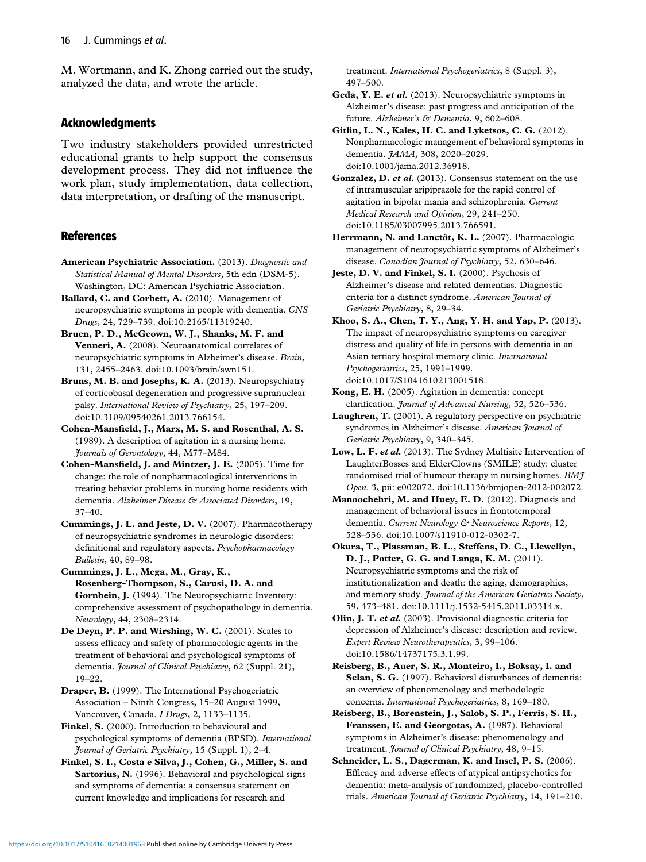<span id="page-9-0"></span>M. Wortmann, and K. Zhong carried out the study, analyzed the data, and wrote the article.

## **Acknowledgments**

Two industry stakeholders provided unrestricted educational grants to help support the consensus development process. They did not influence the work plan, study implementation, data collection, data interpretation, or drafting of the manuscript.

## **References**

- **American Psychiatric Association.** (2013). *Diagnostic and Statistical Manual of Mental Disorders*, 5th edn (DSM-5). Washington, DC: American Psychiatric Association.
- **Ballard, C. and Corbett, A.** (2010). Management of neuropsychiatric symptoms in people with dementia. *CNS Drugs*, 24, 729–739. doi:10.2165/11319240.
- **Bruen, P. D., McGeown, W. J., Shanks, M. F. and Venneri, A.** (2008). Neuroanatomical correlates of neuropsychiatric symptoms in Alzheimer's disease. *Brain*, 131, 2455–2463. doi:10.1093/brain/awn151.
- **Bruns, M. B. and Josephs, K. A.** (2013). Neuropsychiatry of corticobasal degeneration and progressive supranuclear palsy. *International Review of Psychiatry*, 25, 197–209. doi:10.3109/09540261.2013.766154.
- **Cohen-Mansfield, J., Marx, M. S. and Rosenthal, A. S.** (1989). A description of agitation in a nursing home. *Journals of Gerontology*, 44, M77–M84.
- **Cohen-Mansfield, J. and Mintzer, J. E.** (2005). Time for change: the role of nonpharmacological interventions in treating behavior problems in nursing home residents with dementia. *Alzheimer Disease & Associated Disorders*, 19, 37–40.
- **Cummings, J. L. and Jeste, D. V.** (2007). Pharmacotherapy of neuropsychiatric syndromes in neurologic disorders: definitional and regulatory aspects. *Psychopharmacology Bulletin*, 40, 89–98.
- **Cummings, J. L., Mega, M., Gray, K., Rosenberg-Thompson, S., Carusi, D. A. and Gornbein, J.** (1994). The Neuropsychiatric Inventory: comprehensive assessment of psychopathology in dementia. *Neurology*, 44, 2308–2314.
- **De Deyn, P. P. and Wirshing, W. C.** (2001). Scales to assess efficacy and safety of pharmacologic agents in the treatment of behavioral and psychological symptoms of dementia. *Journal of Clinical Psychiatry*, 62 (Suppl. 21), 19–22.

**Draper, B.** (1999). The International Psychogeriatric Association – Ninth Congress, 15–20 August 1999, Vancouver, Canada. *I Drugs*, 2, 1133–1135.

**Finkel, S.** (2000). Introduction to behavioural and psychological symptoms of dementia (BPSD). *International Journal of Geriatric Psychiatry*, 15 (Suppl. 1), 2–4.

**Finkel, S. I., Costa e Silva, J., Cohen, G., Miller, S. and Sartorius, N.** (1996). Behavioral and psychological signs and symptoms of dementia: a consensus statement on current knowledge and implications for research and

treatment. *International Psychogeriatrics*, 8 (Suppl. 3), 497–500.

- **Geda, Y. E.** *et al.* (2013). Neuropsychiatric symptoms in Alzheimer's disease: past progress and anticipation of the future. *Alzheimer's & Dementia*, 9, 602–608.
- **Gitlin, L. N., Kales, H. C. and Lyketsos, C. G.** (2012). Nonpharmacologic management of behavioral symptoms in dementia. *JAMA*, 308, 2020–2029. doi:10.1001/jama.2012.36918.
- **Gonzalez, D.** *et al.* (2013). Consensus statement on the use of intramuscular aripiprazole for the rapid control of agitation in bipolar mania and schizophrenia. *Current Medical Research and Opinion*, 29, 241–250. doi:10.1185/03007995.2013.766591.
- **Herrmann, N. and Lanctôt, K. L.** (2007). Pharmacologic management of neuropsychiatric symptoms of Alzheimer's disease. *Canadian Journal of Psychiatry*, 52, 630–646.
- **Jeste, D. V. and Finkel, S. I.** (2000). Psychosis of Alzheimer's disease and related dementias. Diagnostic criteria for a distinct syndrome. *American Journal of Geriatric Psychiatry*, 8, 29–34.
- **Khoo, S. A., Chen, T. Y., Ang, Y. H. and Yap, P.** (2013). The impact of neuropsychiatric symptoms on caregiver distress and quality of life in persons with dementia in an Asian tertiary hospital memory clinic. *International Psychogeriatrics*, 25, 1991–1999. doi:10.1017/S1041610213001518.
- **Kong, E. H.** (2005). Agitation in dementia: concept clarification. *Journal of Advanced Nursing*, 52, 526–536.
- **Laughren, T.** (2001). A regulatory perspective on psychiatric syndromes in Alzheimer's disease. *American Journal of Geriatric Psychiatry*, 9, 340–345.
- **Low, L. F.** *et al.* (2013). The Sydney Multisite Intervention of LaughterBosses and ElderClowns (SMILE) study: cluster randomised trial of humour therapy in nursing homes. *BMJ Open*. 3, pii: e002072. doi:10.1136/bmjopen-2012-002072.
- **Manoochehri, M. and Huey, E. D.** (2012). Diagnosis and management of behavioral issues in frontotemporal dementia. *Current Neurology & Neuroscience Reports*, 12, 528–536. doi:10.1007/s11910-012-0302-7.
- **Okura, T., Plassman, B. L., Steffens, D. C., Llewellyn, D. J., Potter, G. G. and Langa, K. M.** (2011). Neuropsychiatric symptoms and the risk of institutionalization and death: the aging, demographics, and memory study. *Journal of the American Geriatrics Society*, 59, 473–481. doi:10.1111/j.1532-5415.2011.03314.x.
- **Olin, J. T.** *et al.* (2003). Provisional diagnostic criteria for depression of Alzheimer's disease: description and review. *Expert Review Neurotherapeutics*, 3, 99–106. doi:10.1586/14737175.3.1.99.
- **Reisberg, B., Auer, S. R., Monteiro, I., Boksay, I. and Sclan, S. G.** (1997). Behavioral disturbances of dementia: an overview of phenomenology and methodologic concerns. *International Psychogeriatrics*, 8, 169–180.
- **Reisberg, B., Borenstein, J., Salob, S. P., Ferris, S. H., Franssen, E. and Georgotas, A.** (1987). Behavioral symptoms in Alzheimer's disease: phenomenology and treatment. *Journal of Clinical Psychiatry*, 48, 9–15.
- **Schneider, L. S., Dagerman, K. and Insel, P. S.** (2006). Efficacy and adverse effects of atypical antipsychotics for dementia: meta-analysis of randomized, placebo-controlled trials. *American Journal of Geriatric Psychiatry*, 14, 191–210.